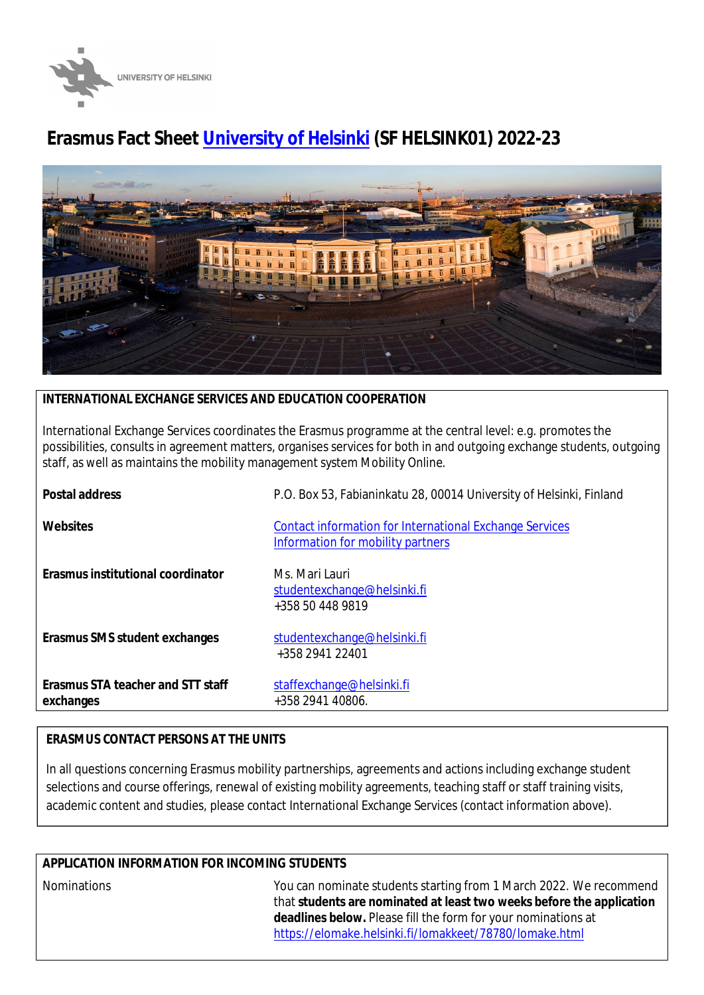

# **Erasmus Fact Sheet [University of Helsinki](https://www.helsinki.fi/en) (SF HELSINK01) 2022-23**



# **INTERNATIONAL EXCHANGE SERVICES AND EDUCATION COOPERATION**

International Exchange Services coordinates the Erasmus programme at the central level: e.g. promotes the possibilities, consults in agreement matters, organises services for both in and outgoing exchange students, outgoing staff, as well as maintains the mobility management system Mobility Online.

| Postal address                                 | P.O. Box 53, Fabianinkatu 28, 00014 University of Helsinki, Finland                                 |
|------------------------------------------------|-----------------------------------------------------------------------------------------------------|
| Websites                                       | <b>Contact information for International Exchange Services</b><br>Information for mobility partners |
| Erasmus institutional coordinator              | Ms. Mari Lauri<br>studentexchange@helsinki.fi<br>+358 50 448 9819                                   |
| Erasmus SMS student exchanges                  | studentexchange@helsinki.fi<br>+358 2941 22401                                                      |
| Erasmus STA teacher and STT staff<br>exchanges | staffexchange@helsinki.fi<br>+358 2941 40806.                                                       |

## **ERASMUS CONTACT PERSONS AT THE UNITS**

In all questions concerning Erasmus mobility partnerships, agreements and actions including exchange student selections and course offerings, renewal of existing mobility agreements, teaching staff or staff training visits, academic content and studies, please contact International Exchange Services (contact information above).

## **APPLICATION INFORMATION FOR INCOMING STUDENTS**

Nominations You can nominate students starting from 1 March 2022. We recommend that **students are nominated at least two weeks before the application deadlines below.** Please fill the form for your nominations at <https://elomake.helsinki.fi/lomakkeet/78780/lomake.html>